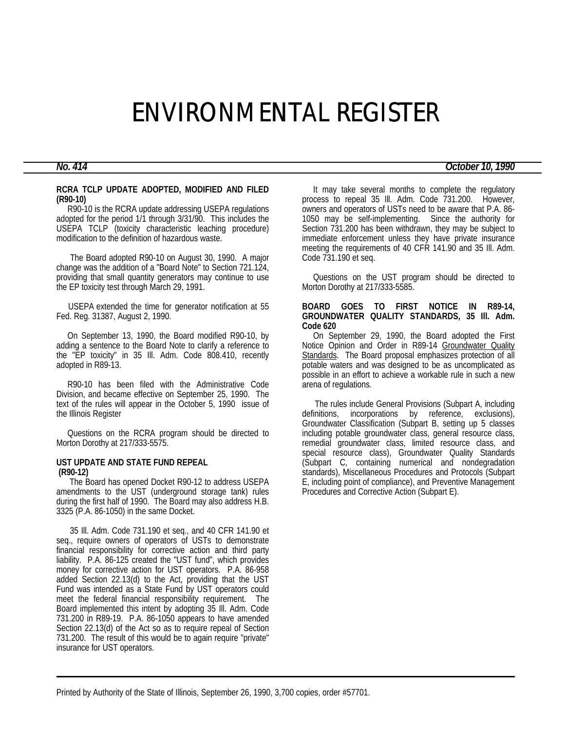# ENVIRONMENTAL REGISTER

# *No. 414 October 10, 1990*

#### **RCRA TCLP UPDATE ADOPTED, MODIFIED AND FILED (R90-10)**

 R90-10 is the RCRA update addressing USEPA regulations adopted for the period 1/1 through 3/31/90. This includes the USEPA TCLP (toxicity characteristic leaching procedure) modification to the definition of hazardous waste.

 The Board adopted R90-10 on August 30, 1990. A major change was the addition of a "Board Note" to Section 721.124, providing that small quantity generators may continue to use the EP toxicity test through March 29, 1991.

 USEPA extended the time for generator notification at 55 Fed. Reg. 31387, August 2, 1990.

 On September 13, 1990, the Board modified R90-10, by adding a sentence to the Board Note to clarify a reference to the "EP toxicity" in 35 Ill. Adm. Code 808.410, recently adopted in R89-13.

 R90-10 has been filed with the Administrative Code Division, and became effective on September 25, 1990. The text of the rules will appear in the October 5, 1990 issue of the Illinois Register

 Questions on the RCRA program should be directed to Morton Dorothy at 217/333-5575.

# **UST UPDATE AND STATE FUND REPEAL (R90-12)**

 The Board has opened Docket R90-12 to address USEPA amendments to the UST (underground storage tank) rules during the first half of 1990. The Board may also address H.B. 3325 (P.A. 86-1050) in the same Docket.

 35 Ill. Adm. Code 731.190 et seq., and 40 CFR 141.90 et seq., require owners of operators of USTs to demonstrate financial responsibility for corrective action and third party liability. P.A. 86-125 created the "UST fund", which provides money for corrective action for UST operators. P.A. 86-958 added Section 22.13(d) to the Act, providing that the UST Fund was intended as a State Fund by UST operators could meet the federal financial responsibility requirement. The Board implemented this intent by adopting 35 Ill. Adm. Code 731.200 in R89-19. P.A. 86-1050 appears to have amended Section 22.13(d) of the Act so as to require repeal of Section 731.200. The result of this would be to again require "private" insurance for UST operators.

 It may take several months to complete the regulatory process to repeal 35 Ill. Adm. Code 731.200. However, owners and operators of USTs need to be aware that P.A. 86- 1050 may be self-implementing. Since the authority for Section 731.200 has been withdrawn, they may be subject to immediate enforcement unless they have private insurance meeting the requirements of 40 CFR 141.90 and 35 III. Adm. Code 731.190 et seq.

 Questions on the UST program should be directed to Morton Dorothy at 217/333-5585.

### **BOARD GOES TO FIRST NOTICE IN R89-14, GROUNDWATER QUALITY STANDARDS, 35 Ill. Adm. Code 620**

 On September 29, 1990, the Board adopted the First Notice Opinion and Order in R89-14 Groundwater Quality Standards. The Board proposal emphasizes protection of all potable waters and was designed to be as uncomplicated as possible in an effort to achieve a workable rule in such a new arena of regulations.

 The rules include General Provisions (Subpart A, including definitions, incorporations by reference, exclusions), Groundwater Classification (Subpart B, setting up 5 classes including potable groundwater class, general resource class, remedial groundwater class, limited resource class, and special resource class), Groundwater Quality Standards (Subpart C, containing numerical and nondegradation standards), Miscellaneous Procedures and Protocols (Subpart E, including point of compliance), and Preventive Management Procedures and Corrective Action (Subpart E).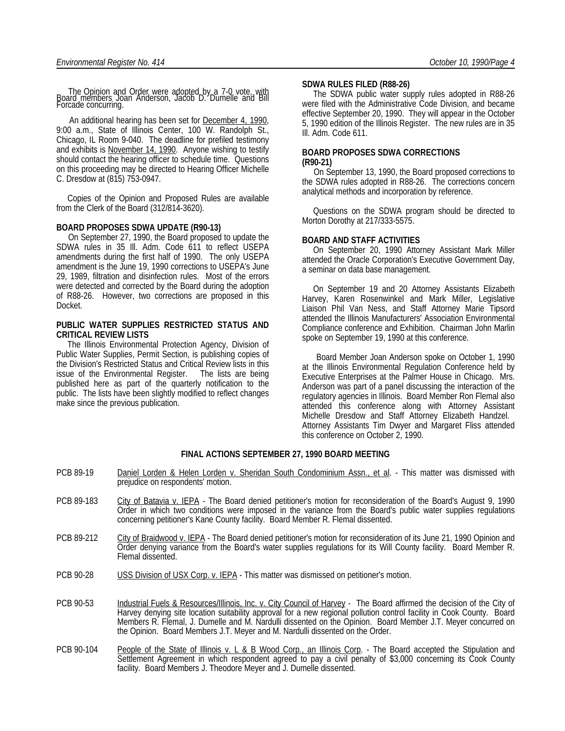The Opinion and Order were adopted by a 7-0 vote, with Board members Joan Anderson, Jacob D. Dumelle and Bill Forcade concurring.

An additional hearing has been set for **December 4, 1990**, 9:00 a.m., State of Illinois Center, 100 W. Randolph St., Chicago, IL Room 9-040. The deadline for prefiled testimony and exhibits is November 14, 1990. Anyone wishing to testify should contact the hearing officer to schedule time. Questions on this proceeding may be directed to Hearing Officer Michelle C. Dresdow at (815) 753-0947.

 Copies of the Opinion and Proposed Rules are available from the Clerk of the Board (312/814-3620).

#### **BOARD PROPOSES SDWA UPDATE (R90-13)**

 On September 27, 1990, the Board proposed to update the SDWA rules in 35 Ill. Adm. Code 611 to reflect USEPA amendments during the first half of 1990. The only USEPA amendment is the June 19, 1990 corrections to USEPA's June 29, 1989, filtration and disinfection rules. Most of the errors were detected and corrected by the Board during the adoption of R88-26. However, two corrections are proposed in this Docket.

### **PUBLIC WATER SUPPLIES RESTRICTED STATUS AND CRITICAL REVIEW LISTS**

 The Illinois Environmental Protection Agency, Division of Public Water Supplies, Permit Section, is publishing copies of the Division's Restricted Status and Critical Review lists in this issue of the Environmental Register. The lists are being published here as part of the quarterly notification to the public. The lists have been slightly modified to reflect changes make since the previous publication.

#### **SDWA RULES FILED (R88-26)**

 The SDWA public water supply rules adopted in R88-26 were filed with the Administrative Code Division, and became effective September 20, 1990. They will appear in the October 5, 1990 edition of the Illinois Register. The new rules are in 35 Ill. Adm. Code 611.

#### **BOARD PROPOSES SDWA CORRECTIONS (R90-21)**

 On September 13, 1990, the Board proposed corrections to the SDWA rules adopted in R88-26. The corrections concern analytical methods and incorporation by reference.

 Questions on the SDWA program should be directed to Morton Dorothy at 217/333-5575.

#### **BOARD AND STAFF ACTIVITIES**

 On September 20, 1990 Attorney Assistant Mark Miller attended the Oracle Corporation's Executive Government Day, a seminar on data base management.

 On September 19 and 20 Attorney Assistants Elizabeth Harvey, Karen Rosenwinkel and Mark Miller, Legislative Liaison Phil Van Ness, and Staff Attorney Marie Tipsord attended the Illinois Manufacturers' Association Environmental Compliance conference and Exhibition. Chairman John Marlin spoke on September 19, 1990 at this conference.

 Board Member Joan Anderson spoke on October 1, 1990 at the Illinois Environmental Regulation Conference held by Executive Enterprises at the Palmer House in Chicago. Mrs. Anderson was part of a panel discussing the interaction of the regulatory agencies in Illinois. Board Member Ron Flemal also attended this conference along with Attorney Assistant Michelle Dresdow and Staff Attorney Elizabeth Handzel. Attorney Assistants Tim Dwyer and Margaret Fliss attended this conference on October 2, 1990.

# **FINAL ACTIONS SEPTEMBER 27, 1990 BOARD MEETING**

- PCB 89-19 Daniel Lorden & Helen Lorden v. Sheridan South Condominium Assn., et al. This matter was dismissed with prejudice on respondents' motion.
- PCB 89-183 City of Batavia v. IEPA The Board denied petitioner's motion for reconsideration of the Board's August 9, 1990 Order in which two conditions were imposed in the variance from the Board's public water supplies regulations concerning petitioner's Kane County facility. Board Member R. Flemal dissented.
- PCB 89-212 City of Braidwood v. IEPA The Board denied petitioner's motion for reconsideration of its June 21, 1990 Opinion and Order denying variance from the Board's water supplies regulations for its Will County facility. Board Member R. Flemal dissented.
- PCB 90-28 USS Division of USX Corp. v. IEPA This matter was dismissed on petitioner's motion.
- PCB 90-53 Industrial Fuels & Resources/Illinois, Inc. v. City Council of Harvey The Board affirmed the decision of the City of Harvey denying site location suitability approval for a new regional pollution control facility in Cook County. Board Members R. Flemal, J. Dumelle and M. Nardulli dissented on the Opinion. Board Member J.T. Meyer concurred on the Opinion. Board Members J.T. Meyer and M. Nardulli dissented on the Order.
- PCB 90-104 People of the State of Illinois v. L & B Wood Corp., an Illinois Corp. The Board accepted the Stipulation and Settlement Agreement in which respondent agreed to pay a civil penalty of \$3,000 concerning its Cook County facility. Board Members J. Theodore Meyer and J. Dumelle dissented.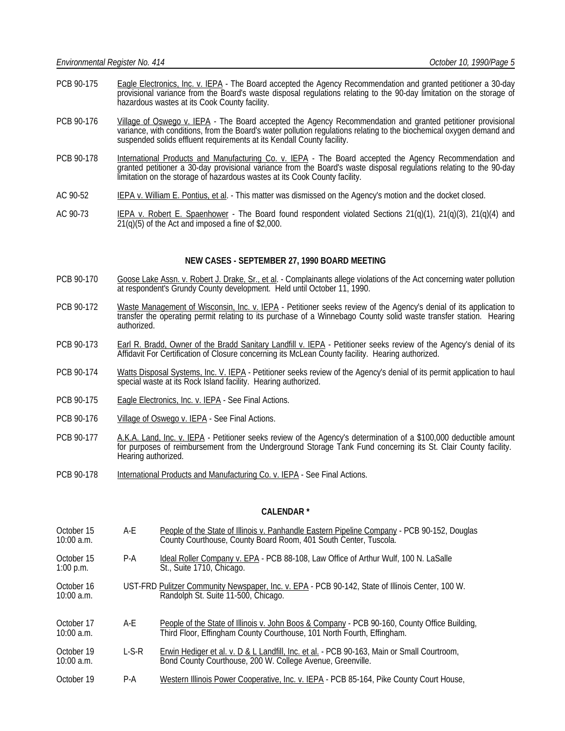- PCB 90-175 Eagle Electronics, Inc. v. IEPA The Board accepted the Agency Recommendation and granted petitioner a 30-day provisional variance from the Board's waste disposal regulations relating to the 90-day limitation on the storage of hazardous wastes at its Cook County facility.
- PCB 90-176 Village of Oswego v. IEPA The Board accepted the Agency Recommendation and granted petitioner provisional variance, with conditions, from the Board's water pollution regulations relating to the biochemical oxygen demand and suspended solids effluent requirements at its Kendall County facility.
- PCB 90-178 International Products and Manufacturing Co. v. IEPA The Board accepted the Agency Recommendation and granted petitioner a 30-day provisional variance from the Board's waste disposal regulations relating to the 90-day limitation on the storage of hazardous wastes at its Cook County facility.
- AC 90-52 IEPA v. William E. Pontius, et al. This matter was dismissed on the Agency's motion and the docket closed.
- AC 90-73 IEPA v. Robert E. Spaenhower The Board found respondent violated Sections 21(q)(1), 21(q)(3), 21(q)(4) and  $21(q)(5)$  of the Act and imposed a fine of \$2,000.

# **NEW CASES - SEPTEMBER 27, 1990 BOARD MEETING**

- PCB 90-170 Goose Lake Assn. v. Robert J. Drake, Sr., et al. Complainants allege violations of the Act concerning water pollution at respondent's Grundy County development. Held until October 11, 1990.
- PCB 90-172 Waste Management of Wisconsin, Inc. v. IEPA Petitioner seeks review of the Agency's denial of its application to transfer the operating permit relating to its purchase of a Winnebago County solid waste transfer station. Hearing authorized.
- PCB 90-173 Earl R. Bradd, Owner of the Bradd Sanitary Landfill v. IEPA Petitioner seeks review of the Agency's denial of its Affidavit For Certification of Closure concerning its McLean County facility. Hearing authorized.
- PCB 90-174 Watts Disposal Systems, Inc. V. IEPA Petitioner seeks review of the Agency's denial of its permit application to haul special waste at its Rock Island facility. Hearing authorized.
- PCB 90-175 Eagle Electronics, Inc. v. IEPA See Final Actions.
- PCB 90-176 Village of Oswego v. IEPA See Final Actions.
- PCB 90-177 A.K.A. Land, Inc. v. IEPA Petitioner seeks review of the Agency's determination of a \$100,000 deductible amount for purposes of reimbursement from the Underground Storage Tank Fund concerning its St. Clair County facility. Hearing authorized.
- PCB 90-178 International Products and Manufacturing Co. v. IEPA See Final Actions.

#### **CALENDAR \***

| October 15<br>$10:00$ a.m. | A-F     | People of the State of Illinois v. Panhandle Eastern Pipeline Company - PCB 90-152, Douglas<br>County Courthouse, County Board Room, 401 South Center, Tuscola.        |
|----------------------------|---------|------------------------------------------------------------------------------------------------------------------------------------------------------------------------|
| October 15<br>$1:00$ p.m.  | $P-A$   | Ideal Roller Company v. EPA - PCB 88-108, Law Office of Arthur Wulf, 100 N. LaSalle<br>St., Suite 1710, Chicago.                                                       |
| October 16<br>$10:00$ a.m. |         | UST-FRD Pulitzer Community Newspaper, Inc. v. EPA - PCB 90-142, State of Illinois Center, 100 W.<br>Randolph St. Suite 11-500, Chicago.                                |
| October 17<br>$10:00$ a.m. | A-E     | People of the State of Illinois v. John Boos & Company - PCB 90-160, County Office Building,<br>Third Floor, Effingham County Courthouse, 101 North Fourth, Effingham. |
| October 19<br>$10:00$ a.m. | $L-S-R$ | <b>Erwin Hediger et al. v. D &amp; L Landfill, Inc. et al. - PCB 90-163, Main or Small Courtroom,</b><br>Bond County Courthouse, 200 W. College Avenue, Greenville.    |
| October 19                 | $P-A$   | Western Illinois Power Cooperative, Inc. v. IEPA - PCB 85-164, Pike County Court House,                                                                                |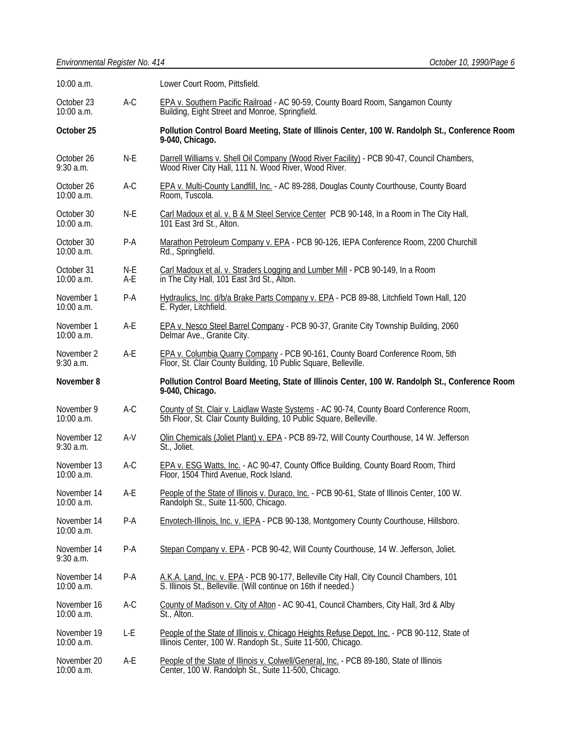| 10:00 a.m.                  |            | Lower Court Room, Pittsfield.                                                                                                                                 |  |
|-----------------------------|------------|---------------------------------------------------------------------------------------------------------------------------------------------------------------|--|
| October 23<br>10:00 a.m.    | $A-C$      | EPA v. Southern Pacific Railroad - AC 90-59, County Board Room, Sangamon County<br>Building, Eight Street and Monroe, Springfield.                            |  |
| October 25                  |            | Pollution Control Board Meeting, State of Illinois Center, 100 W. Randolph St., Conference Room<br>9-040, Chicago.                                            |  |
| October 26<br>$9:30$ a.m.   | $N-E$      | Darrell Williams v. Shell Oil Company (Wood River Facility) - PCB 90-47, Council Chambers,<br>Wood River City Hall, 111 N. Wood River, Wood River.            |  |
| October 26<br>10:00 a.m.    | $A-C$      | EPA v. Multi-County Landfill, Inc. - AC 89-288, Douglas County Courthouse, County Board<br>Room, Tuscola.                                                     |  |
| October 30<br>10:00 a.m.    | $N-E$      | Carl Madoux et al. v. B & M Steel Service Center PCB 90-148, In a Room in The City Hall,<br>101 East 3rd St., Alton.                                          |  |
| October 30<br>10:00 a.m.    | $P-A$      | Marathon Petroleum Company v. EPA - PCB 90-126, IEPA Conference Room, 2200 Churchill<br>Rd., Springfield.                                                     |  |
| October 31<br>10:00 a.m.    | N-E<br>A-E | Carl Madoux et al. v. Straders Logging and Lumber Mill - PCB 90-149, In a Room<br>in The City Hall, 101 East 3rd St., Alton.                                  |  |
| November 1<br>10:00 a.m.    | $P-A$      | Hydraulics, Inc. d/b/a Brake Parts Company v. EPA - PCB 89-88, Litchfield Town Hall, 120<br>E. Ryder, Litchfield.                                             |  |
| November 1<br>10:00 a.m.    | A-E        | EPA v. Nesco Steel Barrel Company - PCB 90-37, Granite City Township Building, 2060<br>Delmar Ave., Granite City.                                             |  |
| November 2<br>$9:30$ a.m.   | A-E        | EPA v. Columbia Quarry Company - PCB 90-161, County Board Conference Room, 5th<br>Floor, St. Clair County Building, 10 Public Square, Belleville.             |  |
| November 8                  |            | Pollution Control Board Meeting, State of Illinois Center, 100 W. Randolph St., Conference Room                                                               |  |
|                             |            | 9-040, Chicago.                                                                                                                                               |  |
| November 9<br>10:00 a.m.    | $A-C$      | County of St. Clair v. Laidlaw Waste Systems - AC 90-74, County Board Conference Room,<br>5th Floor, St. Clair County Building, 10 Public Square, Belleville. |  |
| November 12<br>$9:30$ a.m.  | $A-V$      | Olin Chemicals (Joliet Plant) v. EPA - PCB 89-72, Will County Courthouse, 14 W. Jefferson<br>St., Joliet.                                                     |  |
| November 13<br>10:00 a.m.   | $A-C$      | EPA v. ESG Watts, Inc. - AC 90-47, County Office Building, County Board Room, Third<br>Floor, 1504 Third Avenue, Rock Island.                                 |  |
| November 14<br>$10:00$ a.m. | A-E        | People of the State of Illinois v. Duraco, Inc. - PCB 90-61, State of Illinois Center, 100 W.<br>Randolph St., Suite 11-500, Chicago.                         |  |
| November 14<br>10:00 a.m.   | $P-A$      | Envotech-Illinois, Inc. v. IEPA - PCB 90-138, Montgomery County Courthouse, Hillsboro.                                                                        |  |
| November 14<br>$9:30$ a.m.  | $P-A$      | Stepan Company v. EPA - PCB 90-42, Will County Courthouse, 14 W. Jefferson, Joliet.                                                                           |  |
| November 14<br>10:00 a.m.   | $P-A$      | A.K.A. Land, Inc. v. EPA - PCB 90-177, Belleville City Hall, City Council Chambers, 101<br>S. Illinois St., Belleville. (Will continue on 16th if needed.)    |  |
| November 16<br>$10:00$ a.m. | $A-C$      | County of Madison v. City of Alton - AC 90-41, Council Chambers, City Hall, 3rd & Alby<br>St., Alton.                                                         |  |
| November 19<br>$10:00$ a.m. | L-E        | People of the State of Illinois v. Chicago Heights Refuse Depot, Inc. - PCB 90-112, State of Illinois Center, 100 W. Randoph St., Suite 11-500, Chicago.      |  |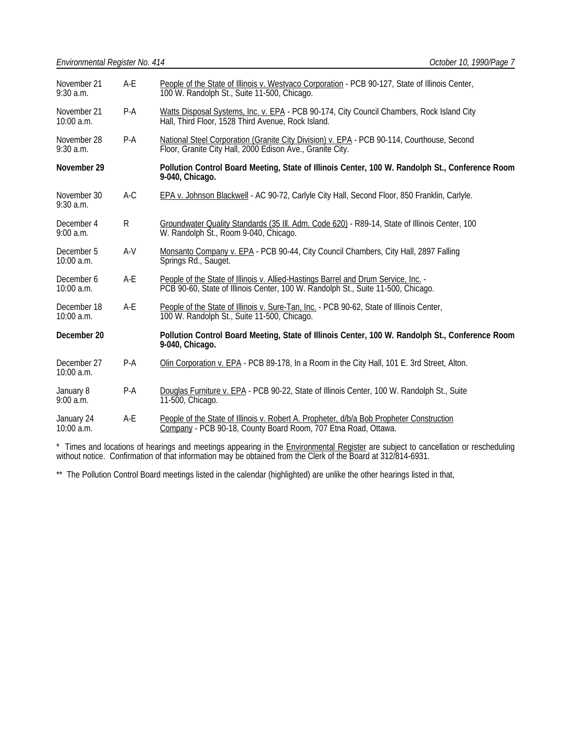| November 21<br>$9:30$ a.m. | $A-E$        | People of the State of Illinois v. Westvaco Corporation - PCB 90-127, State of Illinois Center,<br>100 W. Randolph St., Suite 11-500, Chicago.                         |  |
|----------------------------|--------------|------------------------------------------------------------------------------------------------------------------------------------------------------------------------|--|
| November 21<br>10:00 a.m.  | P-A          | Watts Disposal Systems, Inc. v. EPA - PCB 90-174, City Council Chambers, Rock Island City<br>Hall, Third Floor, 1528 Third Avenue, Rock Island.                        |  |
| November 28<br>$9:30$ a.m. | $P-A$        | National Steel Corporation (Granite City Division) v. EPA - PCB 90-114, Courthouse, Second<br>Floor, Granite City Hall, 2000 Edison Ave., Granite City.                |  |
| November 29                |              | Pollution Control Board Meeting, State of Illinois Center, 100 W. Randolph St., Conference Room<br>9-040, Chicago.                                                     |  |
| November 30<br>$9:30$ a.m. | A-C          | EPA v. Johnson Blackwell - AC 90-72, Carlyle City Hall, Second Floor, 850 Franklin, Carlyle.                                                                           |  |
| December 4<br>9:00 a.m.    | $\mathsf{R}$ | Groundwater Quality Standards (35 III. Adm. Code 620) - R89-14, State of Illinois Center, 100<br>W. Randolph St., Room 9-040, Chicago.                                 |  |
| December 5<br>$10:00$ a.m. | $A-V$        | Monsanto Company v. EPA - PCB 90-44, City Council Chambers, City Hall, 2897 Falling<br>Springs Rd., Sauget.                                                            |  |
| December 6<br>10:00 a.m.   | $A-E$        | People of the State of Illinois v. Allied-Hastings Barrel and Drum Service, Inc. -<br>PCB 90-60, State of Illinois Center, 100 W. Randolph St., Suite 11-500, Chicago. |  |
| December 18<br>10:00 a.m.  | $A-E$        | People of the State of Illinois v. Sure-Tan, Inc. - PCB 90-62, State of Illinois Center,<br>100 W. Randolph St., Suite 11-500, Chicago.                                |  |
| December 20                |              | Pollution Control Board Meeting, State of Illinois Center, 100 W. Randolph St., Conference Room<br>9-040, Chicago.                                                     |  |
| December 27<br>10:00 a.m.  | $P-A$        | Olin Corporation v. EPA - PCB 89-178, In a Room in the City Hall, 101 E. 3rd Street, Alton.                                                                            |  |
| January 8<br>9:00 a.m.     | $P-A$        | Douglas Furniture v. EPA - PCB 90-22, State of Illinois Center, 100 W. Randolph St., Suite<br>11-500, Chicago.                                                         |  |
| January 24<br>10:00 a.m.   | $A-E$        | People of the State of Illinois v. Robert A. Propheter, d/b/a Bob Propheter Construction<br>Company - PCB 90-18, County Board Room, 707 Etna Road, Ottawa.             |  |

\* Times and locations of hearings and meetings appearing in the **Environmental Register** are subject to cancellation or rescheduling without notice. Confirmation of that information may be obtained from the Clerk of the Board at 312/814-6931.

\*\* The Pollution Control Board meetings listed in the calendar (highlighted) are unlike the other hearings listed in that,